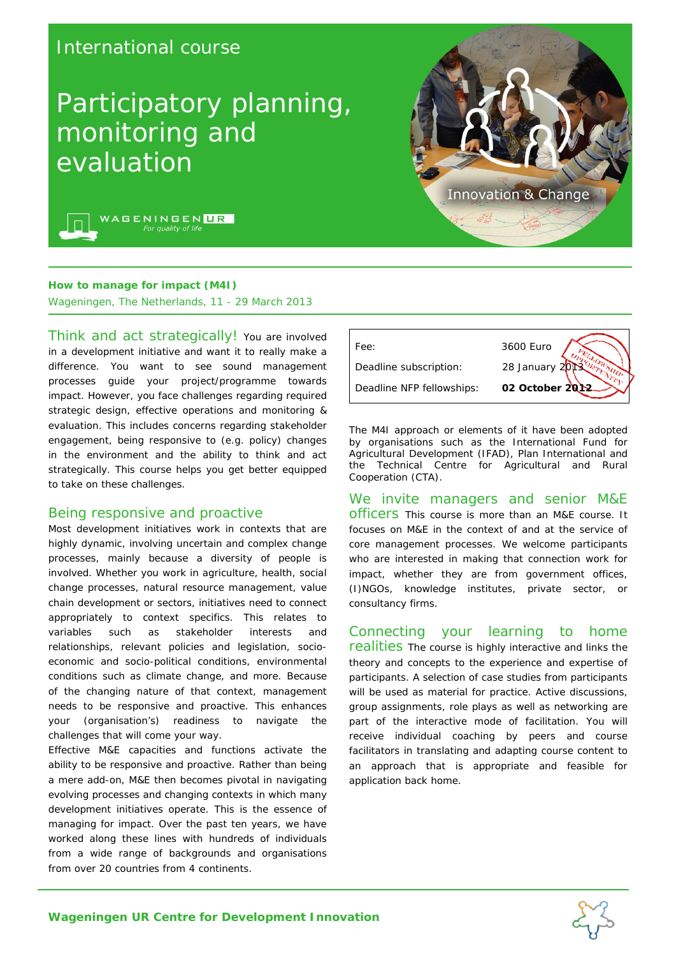# International course

# Participatory planning, monitoring and evaluation



WAGENINGEN<mark>UR</mark>

### **How to manage for impact (M4I)**

Wageningen, The Netherlands, 11 - 29 March 2013

Think and act strategically! You are involved in a development initiative and want it to really make a difference. You want to see sound management processes guide your project/programme towards impact. However, you face challenges regarding required strategic design, effective operations and monitoring & evaluation. This includes concerns regarding stakeholder engagement, being responsive to (e.g. policy) changes in the environment and the ability to think and act strategically. This course helps you get better equipped to take on these challenges.

#### Being responsive and proactive

Most development initiatives work in contexts that are highly dynamic, involving uncertain and complex change processes, mainly because a diversity of people is involved. Whether you work in agriculture, health, social change processes, natural resource management, value chain development or sectors, initiatives need to connect appropriately to context specifics. This relates to variables such as stakeholder interests and relationships, relevant policies and legislation, socioeconomic and socio-political conditions, environmental conditions such as climate change, and more. Because of the changing nature of that context, management needs to be responsive and proactive. This enhances your (organisation's) readiness to navigate the challenges that will come your way.

Effective M&E capacities and functions activate the ability to be responsive and proactive. Rather than being a mere add-on, M&E then becomes pivotal in navigating evolving processes and changing contexts in which many development initiatives operate. This is the essence of managing for impact. Over the past ten years, we have worked along these lines with hundreds of individuals from a wide range of backgrounds and organisations from over 20 countries from 4 continents.



The M4I approach or elements of it have been adopted by organisations such as the International Fund for Agricultural Development (IFAD), Plan International and the Technical Centre for Agricultural and Rural Cooperation (CTA).

We invite managers and senior M&E officers This course is more than an M&E course. It focuses on M&E in the context of and at the service of core management processes. We welcome participants who are interested in making that connection work for impact, whether they are from government offices, (I)NGOs, knowledge institutes, private sector, or consultancy firms.

Connecting your learning to home realities The course is highly interactive and links the theory and concepts to the experience and expertise of participants. A selection of case studies from participants will be used as material for practice. Active discussions, group assignments, role plays as well as networking are part of the interactive mode of facilitation. You will receive individual coaching by peers and course facilitators in translating and adapting course content to an approach that is appropriate and feasible for application back home.